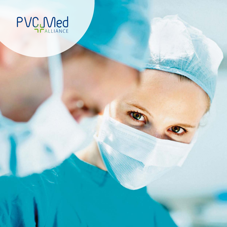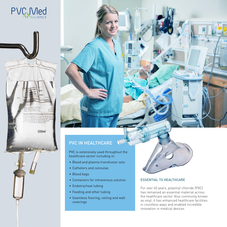

care in renal failure. Rapid infusion may be

armatical co

500ml

# PVC IN HEALTHCARE

PVC is extensively used throughout the healthcare sector including in:

- Blood and plasma transfusion sets
- Catheters and cannulae
- Blood bags
- Containers for intravenous solution
- Endotracheal tubing
- Feeding and other tubing
- Seamless flooring, ceiling and wall coverings

#### ESSENTIAL TO HEALTHCARE

For over 60 years, polyvinyl chloride (PVC) has remained an essential material across the healthcare sector. Also commonly known as vinyl, it has enhanced healthcare facilities in countless ways and enabled incredible innovation in medical devices.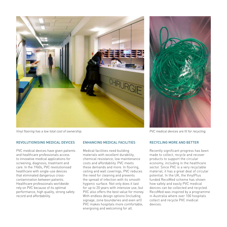



#### REVOLUTIONISING MEDICAL DEVICES

PVC medical devices have given patients and healthcare professionals access to innovative medical applications for screening, diagnosis, treatment and care. In the 1960s, PVC revolutionised healthcare with single-use devices that eliminated dangerous crosscontamination between patients. Healthcare professionals worldwide rely on PVC because of its optimal performance, high quality, strong safety record and affordability.

#### ENHANCING MEDICAL FACILITIES

Medical facilities need building materials with excellent durability, chemical resistance, low maintenance costs and affordability. PVC meets these demands and more. In flooring, ceiling and wall coverings, PVC reduces the need for cleaning and prevents the spread of infection with its smooth hygienic surface. Not only does it last for up to 20 years with intensive use, but PVC also offers the best value for money. With endless design options (including signage, zone boundaries and even art) PVC makes hospitals more comfortable, energising and welcoming for all.



#### RECYCLING MORE AND BETTER

Recently significant progress has been made to collect, recycle and recover products to support the circular economy, including in the healthcare sector. Since PVC is a very recyclable material, it has a great deal of circular potential. In the UK, the VinylPlus funded RecoMed scheme has shown how safely and easily PVC medical devices can be collected and recycled. RecoMed was inspired by a programme in Australia where over 100 hospitals collect and recycle PVC medical devices.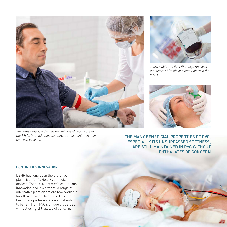

*Single-use medical devices revolutionised healthcare in the 1960s by eliminating dangerous cross-contamination between patients.*



*Unbreakable and light PVC bags replaced containers of fragile and heavy glass in the 1950s.* 



THE MANY BENEFICIAL PROPERTIES OF PVC, ESPECIALLY ITS UNSURPASSED SOFTNESS, ARE STILL MAINTAINED IN PVC WITHOUT PHTHALATES OF CONCERN

#### CONTINUOUS INNOVATION

DEHP has long been the preferred plasticiser for flexible PVC medical devices. Thanks to industry's continuous innovation and investment, a range of alternative plasticisers are now available for all medical applications. This allows healthcare professionals and patients to benefit from PVC's unique properties without using phthalates of concern.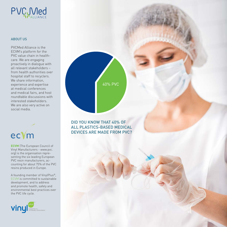

#### **ABOUT US**

PVCMed Alliance is the ECVM's platform for the PVC value chain in healthcare. We are engaging proactively in dialogue with all relevant stakeholders – from health authorities over hospital staff to recyclers. We share information. experience and expertise at medical conferences and medical fairs, and host roundtable discussions with interested stakeholders. We are also very active on social media.



**ECVM** (The European Council of Vinyl Manufacturers - www.pvc. org) is the organisation representing the six leading European PVC resin manufacturers, accounting for about 75% of the PVC resins produced in Europe.

A founding member of VinylPlus®, ECVM is committed to sustainable development, and to address and promote health, safety and environmental best practices over the PVC life cycle.



DID YOU KNOW THAT 40% OF ALL PLASTICS-BASED MEDICAL DEVICES ARE MADE FROM PVC?

40% PVC